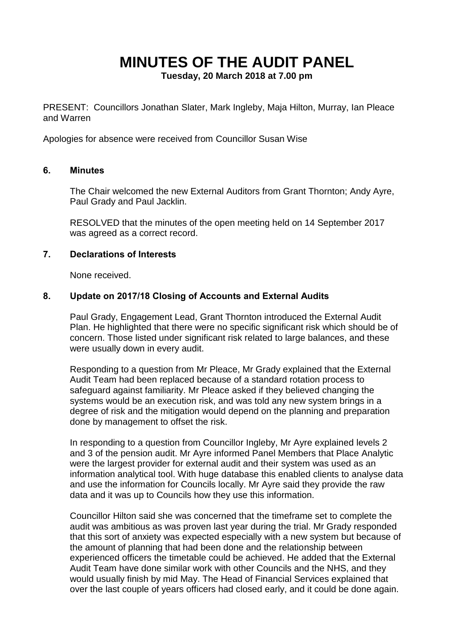# **MINUTES OF THE AUDIT PANEL**

**Tuesday, 20 March 2018 at 7.00 pm**

PRESENT: Councillors Jonathan Slater, Mark Ingleby, Maja Hilton, Murray, Ian Pleace and Warren

Apologies for absence were received from Councillor Susan Wise

#### **6. Minutes**

The Chair welcomed the new External Auditors from Grant Thornton; Andy Ayre, Paul Grady and Paul Jacklin.

RESOLVED that the minutes of the open meeting held on 14 September 2017 was agreed as a correct record.

#### **7. Declarations of Interests**

None received.

## **8. Update on 2017/18 Closing of Accounts and External Audits**

Paul Grady, Engagement Lead, Grant Thornton introduced the External Audit Plan. He highlighted that there were no specific significant risk which should be of concern. Those listed under significant risk related to large balances, and these were usually down in every audit.

Responding to a question from Mr Pleace, Mr Grady explained that the External Audit Team had been replaced because of a standard rotation process to safeguard against familiarity. Mr Pleace asked if they believed changing the systems would be an execution risk, and was told any new system brings in a degree of risk and the mitigation would depend on the planning and preparation done by management to offset the risk.

In responding to a question from Councillor Ingleby, Mr Ayre explained levels 2 and 3 of the pension audit. Mr Ayre informed Panel Members that Place Analytic were the largest provider for external audit and their system was used as an information analytical tool. With huge database this enabled clients to analyse data and use the information for Councils locally. Mr Ayre said they provide the raw data and it was up to Councils how they use this information.

Councillor Hilton said she was concerned that the timeframe set to complete the audit was ambitious as was proven last year during the trial. Mr Grady responded that this sort of anxiety was expected especially with a new system but because of the amount of planning that had been done and the relationship between experienced officers the timetable could be achieved. He added that the External Audit Team have done similar work with other Councils and the NHS, and they would usually finish by mid May. The Head of Financial Services explained that over the last couple of years officers had closed early, and it could be done again.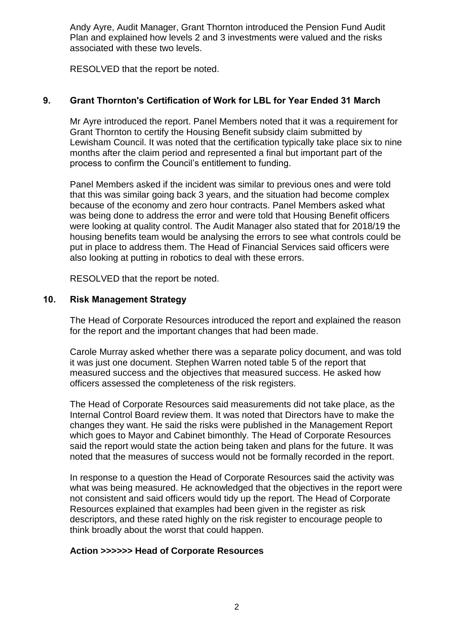Andy Ayre, Audit Manager, Grant Thornton introduced the Pension Fund Audit Plan and explained how levels 2 and 3 investments were valued and the risks associated with these two levels.

RESOLVED that the report be noted.

# **9. Grant Thornton's Certification of Work for LBL for Year Ended 31 March**

Mr Ayre introduced the report. Panel Members noted that it was a requirement for Grant Thornton to certify the Housing Benefit subsidy claim submitted by Lewisham Council. It was noted that the certification typically take place six to nine months after the claim period and represented a final but important part of the process to confirm the Council's entitlement to funding.

Panel Members asked if the incident was similar to previous ones and were told that this was similar going back 3 years, and the situation had become complex because of the economy and zero hour contracts. Panel Members asked what was being done to address the error and were told that Housing Benefit officers were looking at quality control. The Audit Manager also stated that for 2018/19 the housing benefits team would be analysing the errors to see what controls could be put in place to address them. The Head of Financial Services said officers were also looking at putting in robotics to deal with these errors.

RESOLVED that the report be noted.

#### **10. Risk Management Strategy**

The Head of Corporate Resources introduced the report and explained the reason for the report and the important changes that had been made.

Carole Murray asked whether there was a separate policy document, and was told it was just one document. Stephen Warren noted table 5 of the report that measured success and the objectives that measured success. He asked how officers assessed the completeness of the risk registers.

The Head of Corporate Resources said measurements did not take place, as the Internal Control Board review them. It was noted that Directors have to make the changes they want. He said the risks were published in the Management Report which goes to Mayor and Cabinet bimonthly. The Head of Corporate Resources said the report would state the action being taken and plans for the future. It was noted that the measures of success would not be formally recorded in the report.

In response to a question the Head of Corporate Resources said the activity was what was being measured. He acknowledged that the objectives in the report were not consistent and said officers would tidy up the report. The Head of Corporate Resources explained that examples had been given in the register as risk descriptors, and these rated highly on the risk register to encourage people to think broadly about the worst that could happen.

#### **Action >>>>>> Head of Corporate Resources**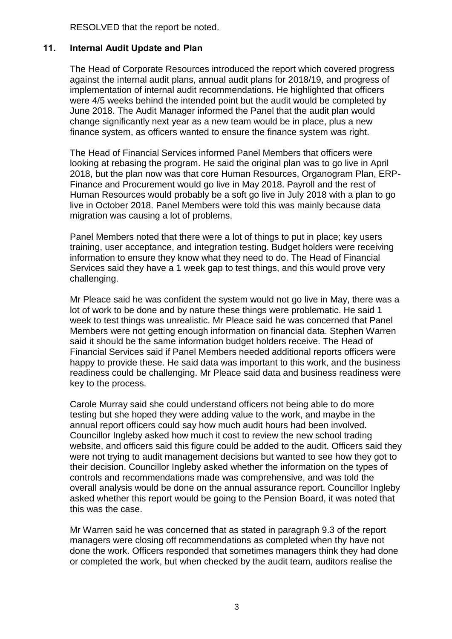RESOLVED that the report be noted.

# **11. Internal Audit Update and Plan**

The Head of Corporate Resources introduced the report which covered progress against the internal audit plans, annual audit plans for 2018/19, and progress of implementation of internal audit recommendations. He highlighted that officers were 4/5 weeks behind the intended point but the audit would be completed by June 2018. The Audit Manager informed the Panel that the audit plan would change significantly next year as a new team would be in place, plus a new finance system, as officers wanted to ensure the finance system was right.

The Head of Financial Services informed Panel Members that officers were looking at rebasing the program. He said the original plan was to go live in April 2018, but the plan now was that core Human Resources, Organogram Plan, ERP-Finance and Procurement would go live in May 2018. Payroll and the rest of Human Resources would probably be a soft go live in July 2018 with a plan to go live in October 2018. Panel Members were told this was mainly because data migration was causing a lot of problems.

Panel Members noted that there were a lot of things to put in place; key users training, user acceptance, and integration testing. Budget holders were receiving information to ensure they know what they need to do. The Head of Financial Services said they have a 1 week gap to test things, and this would prove very challenging.

Mr Pleace said he was confident the system would not go live in May, there was a lot of work to be done and by nature these things were problematic. He said 1 week to test things was unrealistic. Mr Pleace said he was concerned that Panel Members were not getting enough information on financial data. Stephen Warren said it should be the same information budget holders receive. The Head of Financial Services said if Panel Members needed additional reports officers were happy to provide these. He said data was important to this work, and the business readiness could be challenging. Mr Pleace said data and business readiness were key to the process.

Carole Murray said she could understand officers not being able to do more testing but she hoped they were adding value to the work, and maybe in the annual report officers could say how much audit hours had been involved. Councillor Ingleby asked how much it cost to review the new school trading website, and officers said this figure could be added to the audit. Officers said they were not trying to audit management decisions but wanted to see how they got to their decision. Councillor Ingleby asked whether the information on the types of controls and recommendations made was comprehensive, and was told the overall analysis would be done on the annual assurance report. Councillor Ingleby asked whether this report would be going to the Pension Board, it was noted that this was the case.

Mr Warren said he was concerned that as stated in paragraph 9.3 of the report managers were closing off recommendations as completed when thy have not done the work. Officers responded that sometimes managers think they had done or completed the work, but when checked by the audit team, auditors realise the